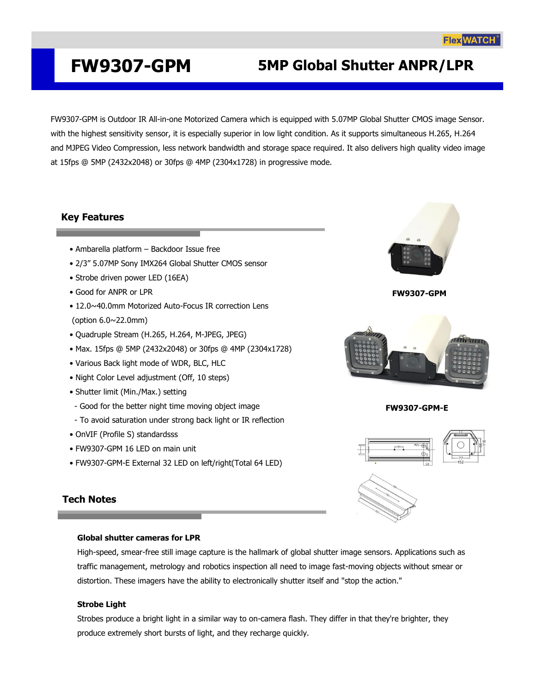## **FW9307-GPM 5MP Global Shutter ANPR/LPR**

FW9307-GPM is Outdoor IR All-in-one Motorized Camera which is equipped with 5.07MP Global Shutter CMOS image Sensor. with the highest sensitivity sensor, it is especially superior in low light condition. As it supports simultaneous H.265, H.264 and MJPEG Video Compression, less network bandwidth and storage space required. It also delivers high quality video image at 15fps @ 5MP (2432x2048) or 30fps @ 4MP (2304x1728) in progressive mode.

## **Key Features**

- Ambarella platform Backdoor Issue free
- 2/3" 5.07MP Sony IMX264 Global Shutter CMOS sensor
- Strobe driven power LED (16EA)
- Good for ANPR or LPR
- 12.0~40.0mm Motorized Auto-Focus IR correction Lens (option 6.0~22.0mm)
- Quadruple Stream (H.265, H.264, M-JPEG, JPEG)
- Max. 15fps @ 5MP (2432x2048) or 30fps @ 4MP (2304x1728)
- Various Back light mode of WDR, BLC, HLC
- Night Color Level adjustment (Off, 10 steps)
- Shutter limit (Min./Max.) setting
- Good for the better night time moving object image
- To avoid saturation under strong back light or IR reflection
- OnVIF (Profile S) standardsss
- FW9307-GPM 16 LED on main unit
- FW9307-GPM-E External 32 LED on left/right(Total 64 LED)

### **Tech Notes**

#### **Global shutter cameras for LPR**

High-speed, smear-free still image capture is the hallmark of global shutter image sensors. Applications such as traffic management, metrology and robotics inspection all need to image fast-moving objects without smear or distortion. These imagers have the ability to electronically shutter itself and "stop the action."

#### **Strobe Light**

Strobes produce a bright light in a similar way to on-camera flash. They differ in that they're brighter, they produce extremely short bursts of light, and they recharge quickly.



**FW9307-GPM**



**FW9307-GPM-E**